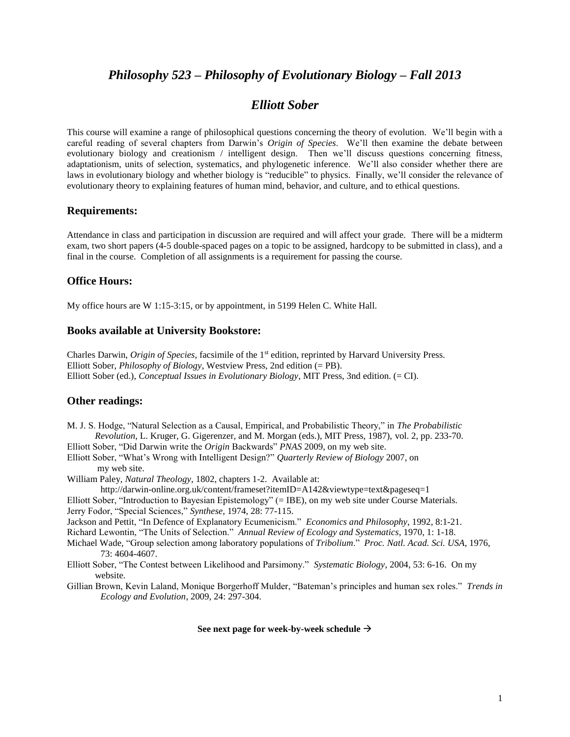# *Philosophy 523 – Philosophy of Evolutionary Biology – Fall 2013*

## *Elliott Sober*

This course will examine a range of philosophical questions concerning the theory of evolution. We'll begin with a careful reading of several chapters from Darwin's *Origin of Species*. We'll then examine the debate between evolutionary biology and creationism / intelligent design. Then we'll discuss questions concerning fitness, adaptationism, units of selection, systematics, and phylogenetic inference. We'll also consider whether there are laws in evolutionary biology and whether biology is "reducible" to physics. Finally, we'll consider the relevance of evolutionary theory to explaining features of human mind, behavior, and culture, and to ethical questions.

#### **Requirements:**

Attendance in class and participation in discussion are required and will affect your grade. There will be a midterm exam, two short papers (4-5 double-spaced pages on a topic to be assigned, hardcopy to be submitted in class), and a final in the course. Completion of all assignments is a requirement for passing the course.

#### **Office Hours:**

My office hours are W 1:15-3:15, or by appointment, in 5199 Helen C. White Hall.

#### **Books available at University Bookstore:**

Charles Darwin, *Origin of Species*, facsimile of the 1<sup>st</sup> edition, reprinted by Harvard University Press. Elliott Sober, *Philosophy of Biology*, Westview Press, 2nd edition (= PB). Elliott Sober (ed.), *Conceptual Issues in Evolutionary Biology*, MIT Press, 3nd edition. (= CI).

### **Other readings:**

M. J. S. Hodge, "Natural Selection as a Causal, Empirical, and Probabilistic Theory," in *The Probabilistic Revolution*, L. Kruger, G. Gigerenzer, and M. Morgan (eds.), MIT Press, 1987), vol. 2, pp. 233-70.

Elliott Sober, "Did Darwin write the *Origin* Backwards" *PNAS* 2009, on my web site.

- Elliott Sober, "What's Wrong with Intelligent Design?" *Quarterly Review of Biology* 2007, on my web site.
- William Paley, *Natural Theology*, 1802, chapters 1-2. Available at:
	- http://darwin-online.org.uk/content/frameset?itemID=A142&viewtype=text&pageseq=1
- Elliott Sober, "Introduction to Bayesian Epistemology" (= IBE), on my web site under Course Materials. Jerry Fodor, "Special Sciences," *Synthese*, 1974, 28: 77-115.
- Jackson and Pettit, "In Defence of Explanatory Ecumenicism." *Economics and Philosophy*, 1992, 8:1-21.
- Richard Lewontin, "The Units of Selection." *Annual Review of Ecology and Systematics*, 1970, 1: 1-18.
- Michael Wade, "Group selection among laboratory populations of *Tribolium*." *Proc. Natl. Acad. Sci. USA*, 1976, 73: 4604-4607.
- Elliott Sober, "The Contest between Likelihood and Parsimony." *Systematic Biology*, 2004, 53: 6-16. On my website.
- Gillian Brown, Kevin Laland, Monique Borgerhoff Mulder, "Bateman's principles and human sex roles." *Trends in Ecology and Evolution*, 2009, 24: 297-304.

#### **See next page for week-by-week schedule**